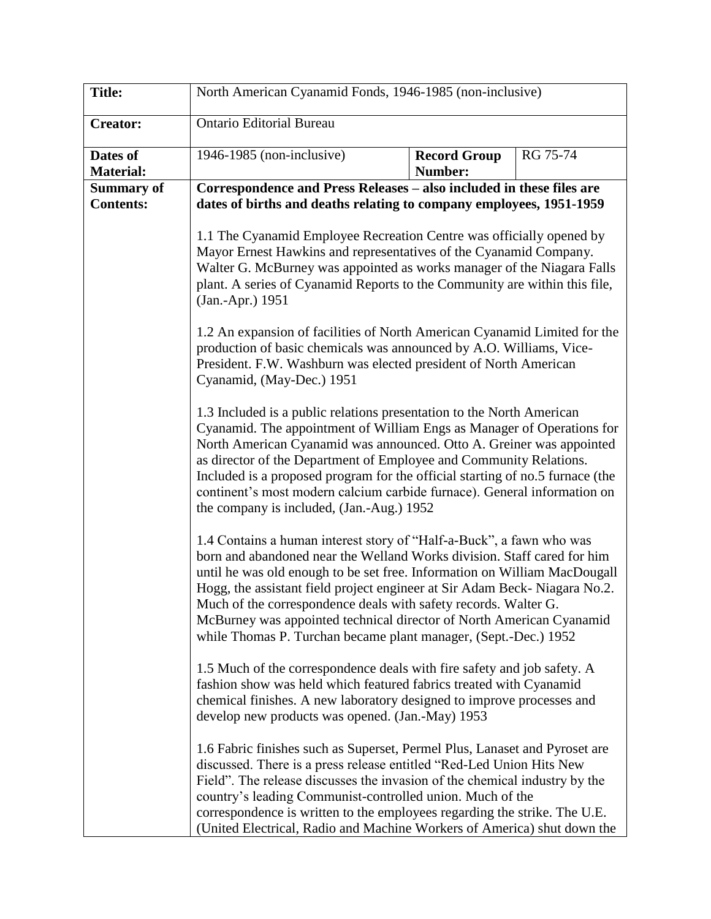| <b>Title:</b>                         | North American Cyanamid Fonds, 1946-1985 (non-inclusive)                                                                                                                                                                                                                                                                                                                                                                                                                                                                                                                                                                                                                                                                                                                                              |                                       |          |  |
|---------------------------------------|-------------------------------------------------------------------------------------------------------------------------------------------------------------------------------------------------------------------------------------------------------------------------------------------------------------------------------------------------------------------------------------------------------------------------------------------------------------------------------------------------------------------------------------------------------------------------------------------------------------------------------------------------------------------------------------------------------------------------------------------------------------------------------------------------------|---------------------------------------|----------|--|
| <b>Creator:</b>                       | <b>Ontario Editorial Bureau</b>                                                                                                                                                                                                                                                                                                                                                                                                                                                                                                                                                                                                                                                                                                                                                                       |                                       |          |  |
| Dates of<br><b>Material:</b>          | 1946-1985 (non-inclusive)                                                                                                                                                                                                                                                                                                                                                                                                                                                                                                                                                                                                                                                                                                                                                                             | <b>Record Group</b><br><b>Number:</b> | RG 75-74 |  |
| <b>Summary of</b><br><b>Contents:</b> | Correspondence and Press Releases – also included in these files are<br>dates of births and deaths relating to company employees, 1951-1959                                                                                                                                                                                                                                                                                                                                                                                                                                                                                                                                                                                                                                                           |                                       |          |  |
|                                       | 1.1 The Cyanamid Employee Recreation Centre was officially opened by<br>Mayor Ernest Hawkins and representatives of the Cyanamid Company.<br>Walter G. McBurney was appointed as works manager of the Niagara Falls<br>plant. A series of Cyanamid Reports to the Community are within this file,<br>(Jan.-Apr.) 1951                                                                                                                                                                                                                                                                                                                                                                                                                                                                                 |                                       |          |  |
|                                       | 1.2 An expansion of facilities of North American Cyanamid Limited for the<br>production of basic chemicals was announced by A.O. Williams, Vice-<br>President. F.W. Washburn was elected president of North American<br>Cyanamid, (May-Dec.) 1951                                                                                                                                                                                                                                                                                                                                                                                                                                                                                                                                                     |                                       |          |  |
|                                       | 1.3 Included is a public relations presentation to the North American<br>Cyanamid. The appointment of William Engs as Manager of Operations for<br>North American Cyanamid was announced. Otto A. Greiner was appointed<br>as director of the Department of Employee and Community Relations.<br>Included is a proposed program for the official starting of no.5 furnace (the<br>continent's most modern calcium carbide furnace). General information on<br>the company is included, (Jan.-Aug.) 1952                                                                                                                                                                                                                                                                                               |                                       |          |  |
|                                       | 1.4 Contains a human interest story of "Half-a-Buck", a fawn who was<br>born and abandoned near the Welland Works division. Staff cared for him<br>until he was old enough to be set free. Information on William MacDougall<br>Hogg, the assistant field project engineer at Sir Adam Beck-Niagara No.2.<br>Much of the correspondence deals with safety records. Walter G.<br>McBurney was appointed technical director of North American Cyanamid<br>while Thomas P. Turchan became plant manager, (Sept.-Dec.) 1952<br>1.5 Much of the correspondence deals with fire safety and job safety. A<br>fashion show was held which featured fabrics treated with Cyanamid<br>chemical finishes. A new laboratory designed to improve processes and<br>develop new products was opened. (Jan.-May) 1953 |                                       |          |  |
|                                       |                                                                                                                                                                                                                                                                                                                                                                                                                                                                                                                                                                                                                                                                                                                                                                                                       |                                       |          |  |
|                                       | 1.6 Fabric finishes such as Superset, Permel Plus, Lanaset and Pyroset are<br>discussed. There is a press release entitled "Red-Led Union Hits New<br>Field". The release discusses the invasion of the chemical industry by the<br>country's leading Communist-controlled union. Much of the<br>correspondence is written to the employees regarding the strike. The U.E.<br>(United Electrical, Radio and Machine Workers of America) shut down the                                                                                                                                                                                                                                                                                                                                                 |                                       |          |  |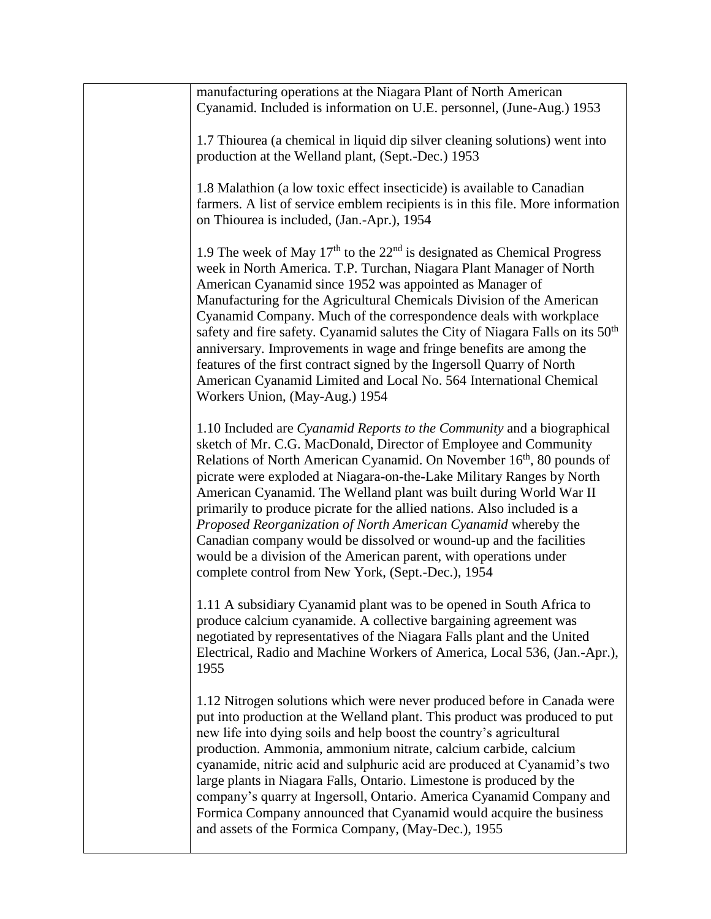| manufacturing operations at the Niagara Plant of North American<br>Cyanamid. Included is information on U.E. personnel, (June-Aug.) 1953                                                                                                                                                                                                                                                                                                                                                                                                                                                                                                                                                                                     |
|------------------------------------------------------------------------------------------------------------------------------------------------------------------------------------------------------------------------------------------------------------------------------------------------------------------------------------------------------------------------------------------------------------------------------------------------------------------------------------------------------------------------------------------------------------------------------------------------------------------------------------------------------------------------------------------------------------------------------|
| 1.7 Thiourea (a chemical in liquid dip silver cleaning solutions) went into<br>production at the Welland plant, (Sept.-Dec.) 1953                                                                                                                                                                                                                                                                                                                                                                                                                                                                                                                                                                                            |
| 1.8 Malathion (a low toxic effect insecticide) is available to Canadian<br>farmers. A list of service emblem recipients is in this file. More information<br>on Thiourea is included, (Jan.-Apr.), 1954                                                                                                                                                                                                                                                                                                                                                                                                                                                                                                                      |
| 1.9 The week of May $17th$ to the $22nd$ is designated as Chemical Progress<br>week in North America. T.P. Turchan, Niagara Plant Manager of North<br>American Cyanamid since 1952 was appointed as Manager of<br>Manufacturing for the Agricultural Chemicals Division of the American<br>Cyanamid Company. Much of the correspondence deals with workplace<br>safety and fire safety. Cyanamid salutes the City of Niagara Falls on its 50 <sup>th</sup><br>anniversary. Improvements in wage and fringe benefits are among the<br>features of the first contract signed by the Ingersoll Quarry of North<br>American Cyanamid Limited and Local No. 564 International Chemical<br>Workers Union, (May-Aug.) 1954          |
| 1.10 Included are Cyanamid Reports to the Community and a biographical<br>sketch of Mr. C.G. MacDonald, Director of Employee and Community<br>Relations of North American Cyanamid. On November 16 <sup>th</sup> , 80 pounds of<br>picrate were exploded at Niagara-on-the-Lake Military Ranges by North<br>American Cyanamid. The Welland plant was built during World War II<br>primarily to produce picrate for the allied nations. Also included is a<br>Proposed Reorganization of North American Cyanamid whereby the<br>Canadian company would be dissolved or wound-up and the facilities<br>would be a division of the American parent, with operations under<br>complete control from New York, (Sept.-Dec.), 1954 |
| 1.11 A subsidiary Cyanamid plant was to be opened in South Africa to<br>produce calcium cyanamide. A collective bargaining agreement was<br>negotiated by representatives of the Niagara Falls plant and the United<br>Electrical, Radio and Machine Workers of America, Local 536, (Jan.-Apr.),<br>1955                                                                                                                                                                                                                                                                                                                                                                                                                     |
| 1.12 Nitrogen solutions which were never produced before in Canada were<br>put into production at the Welland plant. This product was produced to put<br>new life into dying soils and help boost the country's agricultural<br>production. Ammonia, ammonium nitrate, calcium carbide, calcium<br>cyanamide, nitric acid and sulphuric acid are produced at Cyanamid's two<br>large plants in Niagara Falls, Ontario. Limestone is produced by the<br>company's quarry at Ingersoll, Ontario. America Cyanamid Company and<br>Formica Company announced that Cyanamid would acquire the business<br>and assets of the Formica Company, (May-Dec.), 1955                                                                     |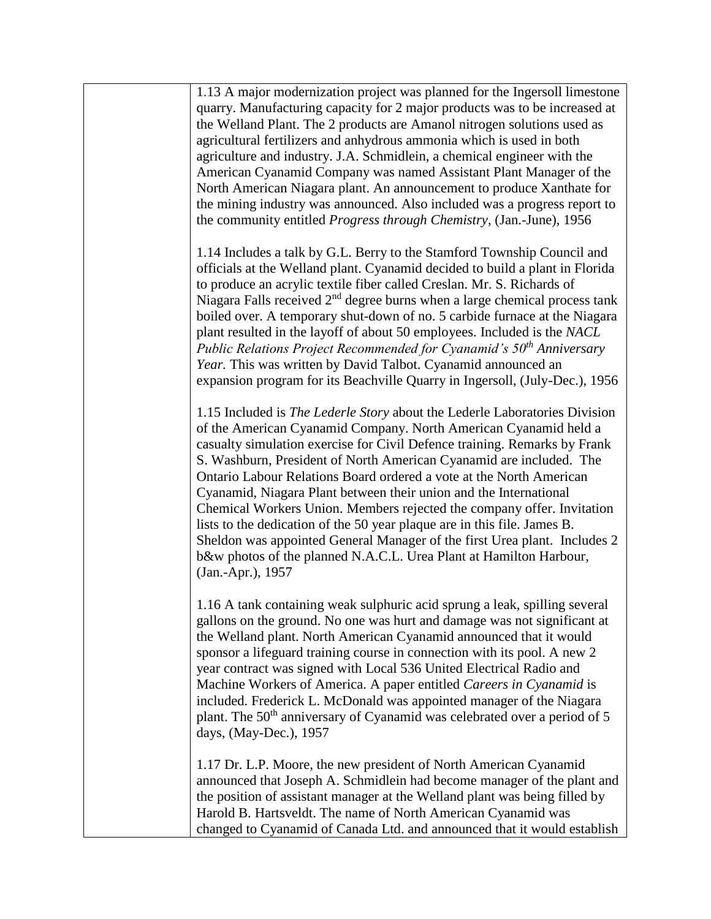| 1.13 A major modernization project was planned for the Ingersoll limestone<br>quarry. Manufacturing capacity for 2 major products was to be increased at<br>the Welland Plant. The 2 products are Amanol nitrogen solutions used as<br>agricultural fertilizers and anhydrous ammonia which is used in both<br>agriculture and industry. J.A. Schmidlein, a chemical engineer with the<br>American Cyanamid Company was named Assistant Plant Manager of the<br>North American Niagara plant. An announcement to produce Xanthate for<br>the mining industry was announced. Also included was a progress report to<br>the community entitled Progress through Chemistry, (Jan.-June), 1956                                                                                   |
|------------------------------------------------------------------------------------------------------------------------------------------------------------------------------------------------------------------------------------------------------------------------------------------------------------------------------------------------------------------------------------------------------------------------------------------------------------------------------------------------------------------------------------------------------------------------------------------------------------------------------------------------------------------------------------------------------------------------------------------------------------------------------|
| 1.14 Includes a talk by G.L. Berry to the Stamford Township Council and<br>officials at the Welland plant. Cyanamid decided to build a plant in Florida<br>to produce an acrylic textile fiber called Creslan. Mr. S. Richards of<br>Niagara Falls received $2nd$ degree burns when a large chemical process tank<br>boiled over. A temporary shut-down of no. 5 carbide furnace at the Niagara<br>plant resulted in the layoff of about 50 employees. Included is the NACL<br>Public Relations Project Recommended for Cyanamid's 50 <sup>th</sup> Anniversary<br>Year. This was written by David Talbot. Cyanamid announced an<br>expansion program for its Beachville Quarry in Ingersoll, (July-Dec.), 1956                                                              |
| 1.15 Included is The Lederle Story about the Lederle Laboratories Division<br>of the American Cyanamid Company. North American Cyanamid held a<br>casualty simulation exercise for Civil Defence training. Remarks by Frank<br>S. Washburn, President of North American Cyanamid are included. The<br>Ontario Labour Relations Board ordered a vote at the North American<br>Cyanamid, Niagara Plant between their union and the International<br>Chemical Workers Union. Members rejected the company offer. Invitation<br>lists to the dedication of the 50 year plaque are in this file. James B.<br>Sheldon was appointed General Manager of the first Urea plant. Includes 2<br>b&w photos of the planned N.A.C.L. Urea Plant at Hamilton Harbour,<br>(Jan.-Apr.), 1957 |
| 1.16 A tank containing weak sulphuric acid sprung a leak, spilling several<br>gallons on the ground. No one was hurt and damage was not significant at<br>the Welland plant. North American Cyanamid announced that it would<br>sponsor a lifeguard training course in connection with its pool. A new 2<br>year contract was signed with Local 536 United Electrical Radio and<br>Machine Workers of America. A paper entitled Careers in Cyanamid is<br>included. Frederick L. McDonald was appointed manager of the Niagara<br>plant. The 50 <sup>th</sup> anniversary of Cyanamid was celebrated over a period of 5<br>days, (May-Dec.), 1957                                                                                                                            |
| 1.17 Dr. L.P. Moore, the new president of North American Cyanamid<br>announced that Joseph A. Schmidlein had become manager of the plant and<br>the position of assistant manager at the Welland plant was being filled by<br>Harold B. Hartsveldt. The name of North American Cyanamid was<br>changed to Cyanamid of Canada Ltd. and announced that it would establish                                                                                                                                                                                                                                                                                                                                                                                                      |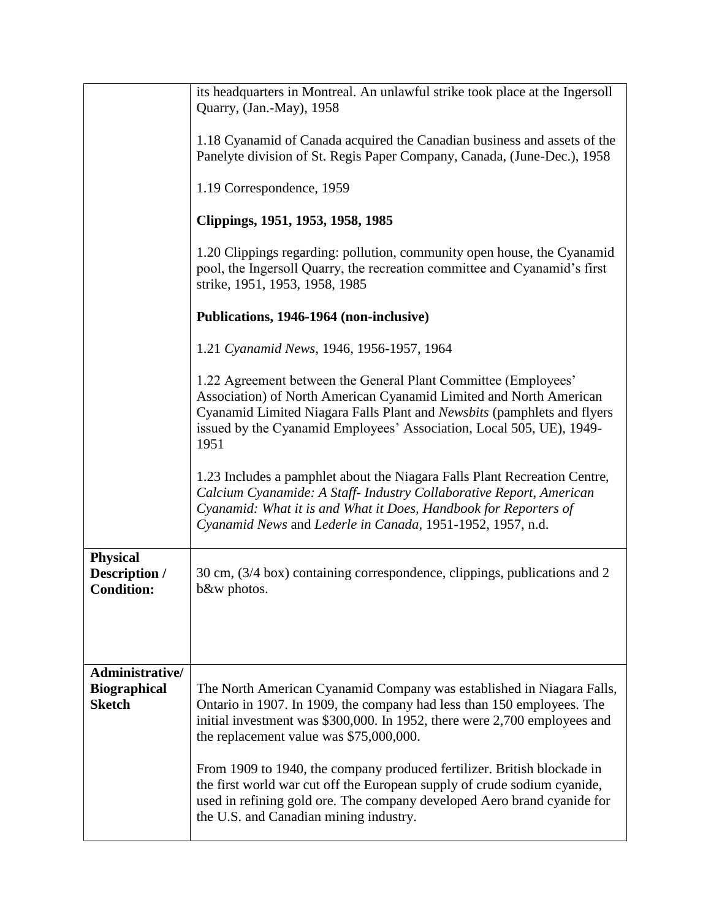|                                                       | its headquarters in Montreal. An unlawful strike took place at the Ingersoll<br>Quarry, (Jan.-May), 1958                                                                                                                                                                                        |  |  |
|-------------------------------------------------------|-------------------------------------------------------------------------------------------------------------------------------------------------------------------------------------------------------------------------------------------------------------------------------------------------|--|--|
|                                                       | 1.18 Cyanamid of Canada acquired the Canadian business and assets of the<br>Panelyte division of St. Regis Paper Company, Canada, (June-Dec.), 1958                                                                                                                                             |  |  |
|                                                       | 1.19 Correspondence, 1959                                                                                                                                                                                                                                                                       |  |  |
|                                                       | Clippings, 1951, 1953, 1958, 1985                                                                                                                                                                                                                                                               |  |  |
|                                                       | 1.20 Clippings regarding: pollution, community open house, the Cyanamid<br>pool, the Ingersoll Quarry, the recreation committee and Cyanamid's first<br>strike, 1951, 1953, 1958, 1985                                                                                                          |  |  |
|                                                       | Publications, 1946-1964 (non-inclusive)                                                                                                                                                                                                                                                         |  |  |
|                                                       | 1.21 Cyanamid News, 1946, 1956-1957, 1964                                                                                                                                                                                                                                                       |  |  |
|                                                       | 1.22 Agreement between the General Plant Committee (Employees'<br>Association) of North American Cyanamid Limited and North American<br>Cyanamid Limited Niagara Falls Plant and Newsbits (pamphlets and flyers<br>issued by the Cyanamid Employees' Association, Local 505, UE), 1949-<br>1951 |  |  |
|                                                       | 1.23 Includes a pamphlet about the Niagara Falls Plant Recreation Centre,<br>Calcium Cyanamide: A Staff- Industry Collaborative Report, American<br>Cyanamid: What it is and What it Does, Handbook for Reporters of<br>Cyanamid News and Lederle in Canada, 1951-1952, 1957, n.d.              |  |  |
| <b>Physical</b><br>Description /<br><b>Condition:</b> | 30 cm, (3/4 box) containing correspondence, clippings, publications and 2<br>b&w photos.                                                                                                                                                                                                        |  |  |
| Administrative/                                       |                                                                                                                                                                                                                                                                                                 |  |  |
| <b>Biographical</b><br><b>Sketch</b>                  | The North American Cyanamid Company was established in Niagara Falls,<br>Ontario in 1907. In 1909, the company had less than 150 employees. The<br>initial investment was \$300,000. In 1952, there were 2,700 employees and<br>the replacement value was \$75,000,000.                         |  |  |
|                                                       | From 1909 to 1940, the company produced fertilizer. British blockade in<br>the first world war cut off the European supply of crude sodium cyanide,<br>used in refining gold ore. The company developed Aero brand cyanide for<br>the U.S. and Canadian mining industry.                        |  |  |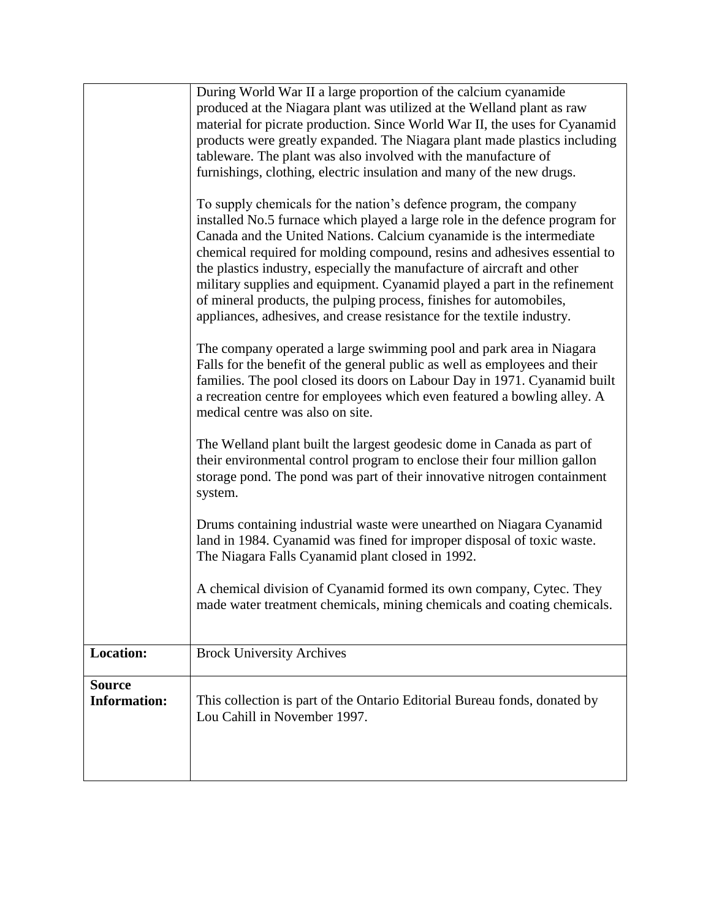|                                      | During World War II a large proportion of the calcium cyanamide<br>produced at the Niagara plant was utilized at the Welland plant as raw                                                                                                                                                                                                                                                                                                                                                                                                                                                                      |  |  |
|--------------------------------------|----------------------------------------------------------------------------------------------------------------------------------------------------------------------------------------------------------------------------------------------------------------------------------------------------------------------------------------------------------------------------------------------------------------------------------------------------------------------------------------------------------------------------------------------------------------------------------------------------------------|--|--|
|                                      | material for picrate production. Since World War II, the uses for Cyanamid<br>products were greatly expanded. The Niagara plant made plastics including<br>tableware. The plant was also involved with the manufacture of<br>furnishings, clothing, electric insulation and many of the new drugs.                                                                                                                                                                                                                                                                                                             |  |  |
|                                      | To supply chemicals for the nation's defence program, the company<br>installed No.5 furnace which played a large role in the defence program for<br>Canada and the United Nations. Calcium cyanamide is the intermediate<br>chemical required for molding compound, resins and adhesives essential to<br>the plastics industry, especially the manufacture of aircraft and other<br>military supplies and equipment. Cyanamid played a part in the refinement<br>of mineral products, the pulping process, finishes for automobiles,<br>appliances, adhesives, and crease resistance for the textile industry. |  |  |
|                                      | The company operated a large swimming pool and park area in Niagara<br>Falls for the benefit of the general public as well as employees and their<br>families. The pool closed its doors on Labour Day in 1971. Cyanamid built<br>a recreation centre for employees which even featured a bowling alley. A<br>medical centre was also on site.                                                                                                                                                                                                                                                                 |  |  |
|                                      | The Welland plant built the largest geodesic dome in Canada as part of<br>their environmental control program to enclose their four million gallon<br>storage pond. The pond was part of their innovative nitrogen containment<br>system.                                                                                                                                                                                                                                                                                                                                                                      |  |  |
|                                      | Drums containing industrial waste were unearthed on Niagara Cyanamid<br>land in 1984. Cyanamid was fined for improper disposal of toxic waste.<br>The Niagara Falls Cyanamid plant closed in 1992.                                                                                                                                                                                                                                                                                                                                                                                                             |  |  |
|                                      | A chemical division of Cyanamid formed its own company, Cytec. They<br>made water treatment chemicals, mining chemicals and coating chemicals.                                                                                                                                                                                                                                                                                                                                                                                                                                                                 |  |  |
| <b>Location:</b>                     | <b>Brock University Archives</b>                                                                                                                                                                                                                                                                                                                                                                                                                                                                                                                                                                               |  |  |
| <b>Source</b><br><b>Information:</b> | This collection is part of the Ontario Editorial Bureau fonds, donated by<br>Lou Cahill in November 1997.                                                                                                                                                                                                                                                                                                                                                                                                                                                                                                      |  |  |
|                                      |                                                                                                                                                                                                                                                                                                                                                                                                                                                                                                                                                                                                                |  |  |